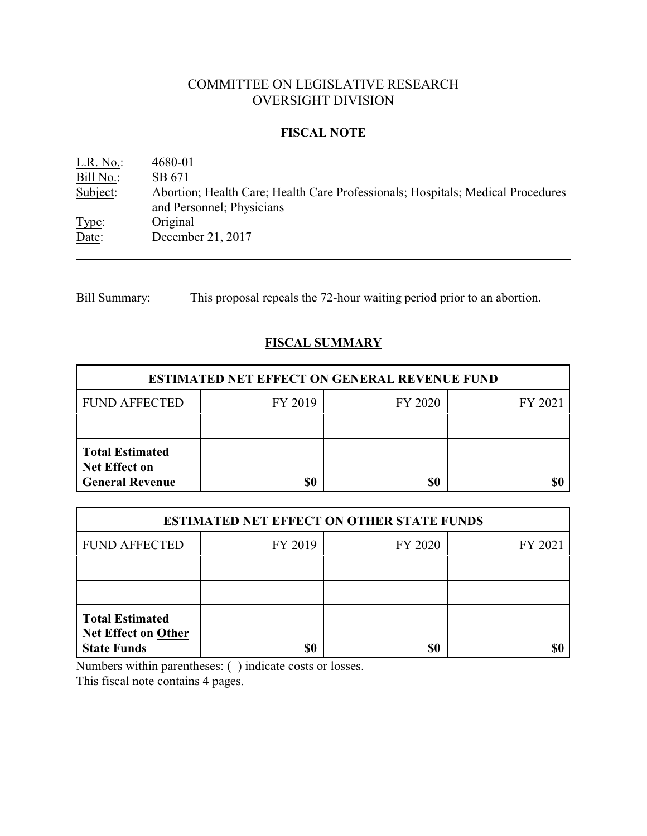# COMMITTEE ON LEGISLATIVE RESEARCH OVERSIGHT DIVISION

## **FISCAL NOTE**

L.R. No.: 4680-01 Bill No.: SB 671<br>Subject: Abortion Abortion; Health Care; Health Care Professionals; Hospitals; Medical Procedures and Personnel; Physicians Type: Original Date: December 21, 2017

Bill Summary: This proposal repeals the 72-hour waiting period prior to an abortion.

## **FISCAL SUMMARY**

| <b>ESTIMATED NET EFFECT ON GENERAL REVENUE FUND</b>                      |         |         |         |  |
|--------------------------------------------------------------------------|---------|---------|---------|--|
| <b>FUND AFFECTED</b>                                                     | FY 2019 | FY 2020 | FY 2021 |  |
|                                                                          |         |         |         |  |
| <b>Total Estimated</b><br><b>Net Effect on</b><br><b>General Revenue</b> | \$0     | \$0     |         |  |

| <b>ESTIMATED NET EFFECT ON OTHER STATE FUNDS</b>                           |         |         |         |  |
|----------------------------------------------------------------------------|---------|---------|---------|--|
| <b>FUND AFFECTED</b>                                                       | FY 2019 | FY 2020 | FY 2021 |  |
|                                                                            |         |         |         |  |
|                                                                            |         |         |         |  |
| <b>Total Estimated</b><br><b>Net Effect on Other</b><br><b>State Funds</b> | \$0     | \$0     |         |  |

Numbers within parentheses: ( ) indicate costs or losses.

This fiscal note contains 4 pages.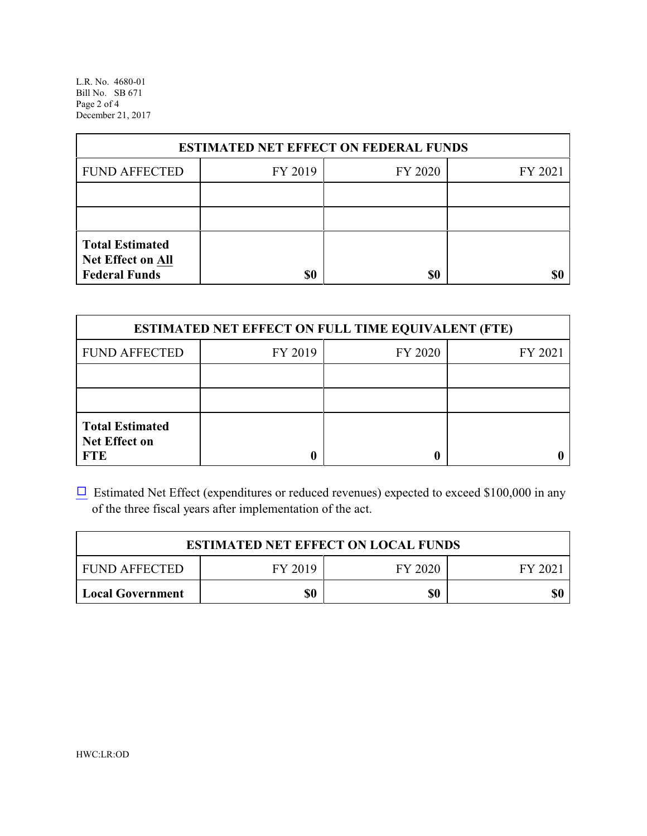L.R. No. 4680-01 Bill No. SB 671 Page 2 of 4 December 21, 2017

| <b>ESTIMATED NET EFFECT ON FEDERAL FUNDS</b>                        |         |         |         |  |
|---------------------------------------------------------------------|---------|---------|---------|--|
| <b>FUND AFFECTED</b>                                                | FY 2019 | FY 2020 | FY 2021 |  |
|                                                                     |         |         |         |  |
|                                                                     |         |         |         |  |
| <b>Total Estimated</b><br>Net Effect on All<br><b>Federal Funds</b> | \$0     | \$0     |         |  |

| <b>ESTIMATED NET EFFECT ON FULL TIME EQUIVALENT (FTE)</b>    |         |         |         |  |
|--------------------------------------------------------------|---------|---------|---------|--|
| <b>FUND AFFECTED</b>                                         | FY 2019 | FY 2020 | FY 2021 |  |
|                                                              |         |         |         |  |
|                                                              |         |         |         |  |
| <b>Total Estimated</b><br><b>Net Effect on</b><br><b>FTE</b> |         |         |         |  |

 $\Box$  Estimated Net Effect (expenditures or reduced revenues) expected to exceed \$100,000 in any of the three fiscal years after implementation of the act.

| <b>ESTIMATED NET EFFECT ON LOCAL FUNDS</b> |         |         |        |
|--------------------------------------------|---------|---------|--------|
| <b>FUND AFFECTED</b>                       | FY 2019 | FY 2020 | FY 202 |
| <b>Local Government</b>                    | \$0     | \$0     | \$0    |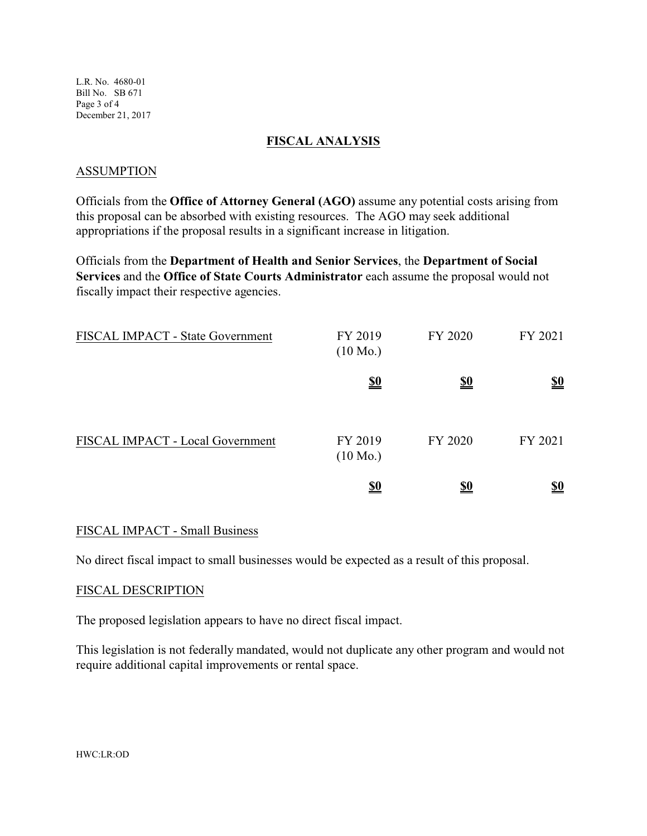L.R. No. 4680-01 Bill No. SB 671 Page 3 of 4 December 21, 2017

### **FISCAL ANALYSIS**

#### ASSUMPTION

Officials from the **Office of Attorney General (AGO)** assume any potential costs arising from this proposal can be absorbed with existing resources. The AGO may seek additional appropriations if the proposal results in a significant increase in litigation.

Officials from the **Department of Health and Senior Services**, the **Department of Social Services** and the **Office of State Courts Administrator** each assume the proposal would not fiscally impact their respective agencies.

| FISCAL IMPACT - State Government | FY 2019<br>$(10 \text{ Mo.})$ | FY 2020    | FY 2021    |
|----------------------------------|-------------------------------|------------|------------|
|                                  | <u>\$0</u>                    | <u>\$0</u> | <u>\$0</u> |
| FISCAL IMPACT - Local Government | FY 2019<br>$(10 \text{ Mo.})$ | FY 2020    | FY 2021    |
|                                  | <u>\$0</u>                    | <u>\$0</u> | <u>\$0</u> |

### FISCAL IMPACT - Small Business

No direct fiscal impact to small businesses would be expected as a result of this proposal.

#### FISCAL DESCRIPTION

The proposed legislation appears to have no direct fiscal impact.

This legislation is not federally mandated, would not duplicate any other program and would not require additional capital improvements or rental space.